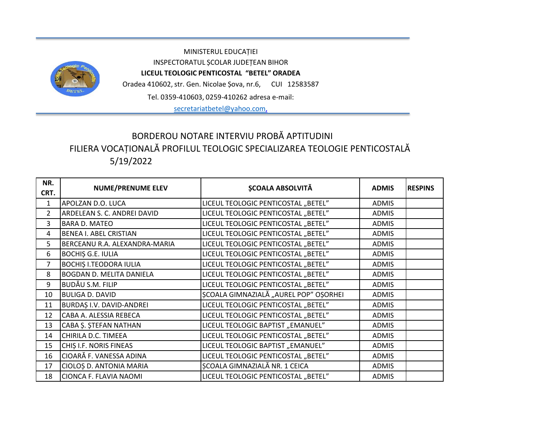

MINISTERUL EDUCAȚIEI INSPECTORATUL ȘCOLAR JUDEȚEAN BIHOR **LICEUL TEOLOGIC PENTICOSTAL "BETEL" ORADEA** Oradea 410602, str. Gen. Nicolae Șova, nr.6, CUI 12583587

Tel. 0359-410603, 0259-410262 adresa e-mail:

[secretariatbetel@yahoo.com](mailto:secretariatbetel@yahoo.com),

## 5/19/2022 BORDEROU NOTARE INTERVIU PROBĂ APTITUDINI FILIERA VOCAȚIONALĂ PROFILUL TEOLOGIC SPECIALIZAREA TEOLOGIE PENTICOSTALĂ

| NR.<br>CRT.    | <b>NUME/PRENUME ELEV</b>        | <b>ȘCOALA ABSOLVITĂ</b>               | <b>ADMIS</b> | <b>RESPINS</b> |
|----------------|---------------------------------|---------------------------------------|--------------|----------------|
| $\mathbf{1}$   | APOLZAN D.O. LUCA               | LICEUL TEOLOGIC PENTICOSTAL "BETEL"   | <b>ADMIS</b> |                |
| $\mathcal{P}$  | ARDELEAN S. C. ANDREI DAVID     | LICEUL TEOLOGIC PENTICOSTAL "BETEL"   | <b>ADMIS</b> |                |
| 3              | <b>BARA D. MATEO</b>            | LICEUL TEOLOGIC PENTICOSTAL "BETEL"   | <b>ADMIS</b> |                |
| 4              | <b>BENEA I. ABEL CRISTIAN</b>   | LICEUL TEOLOGIC PENTICOSTAL "BETEL"   | <b>ADMIS</b> |                |
| 5              | BERCEANU R.A. ALEXANDRA-MARIA   | LICEUL TEOLOGIC PENTICOSTAL "BETEL"   | <b>ADMIS</b> |                |
| 6              | <b>BOCHIS G.E. IULIA</b>        | LICEUL TEOLOGIC PENTICOSTAL "BETEL"   | <b>ADMIS</b> |                |
| $\overline{7}$ | <b>BOCHIS I.TEODORA IULIA</b>   | LICEUL TEOLOGIC PENTICOSTAL "BETEL"   | <b>ADMIS</b> |                |
| 8              | <b>BOGDAN D. MELITA DANIELA</b> | LICEUL TEOLOGIC PENTICOSTAL "BETEL"   | <b>ADMIS</b> |                |
| 9              | <b>BUDĂU S.M. FILIP</b>         | LICEUL TEOLOGIC PENTICOSTAL "BETEL"   | <b>ADMIS</b> |                |
| 10             | <b>BULIGA D. DAVID</b>          | ȘCOALA GIMNAZIALĂ "AUREL POP" OȘORHEI | <b>ADMIS</b> |                |
| 11             | BURDAȘ I.V. DAVID-ANDREI        | LICEUL TEOLOGIC PENTICOSTAL "BETEL"   | <b>ADMIS</b> |                |
| 12             | CABA A. ALESSIA REBECA          | LICEUL TEOLOGIC PENTICOSTAL "BETEL"   | <b>ADMIS</b> |                |
| 13             | CABA Ș. ȘTEFAN NATHAN           | LICEUL TEOLOGIC BAPTIST "EMANUEL"     | <b>ADMIS</b> |                |
| 14             | CHIRILA D.C. TIMEEA             | LICEUL TEOLOGIC PENTICOSTAL "BETEL"   | <b>ADMIS</b> |                |
| 15             | CHIȘ I.F. NORIS FINEAS          | LICEUL TEOLOGIC BAPTIST "EMANUEL"     | <b>ADMIS</b> |                |
| 16             | CIOARĂ F. VANESSA ADINA         | LICEUL TEOLOGIC PENTICOSTAL "BETEL"   | <b>ADMIS</b> |                |
| 17             | CIOLOȘ D. ANTONIA MARIA         | SCOALA GIMNAZIALĂ NR. 1 CEICA         | <b>ADMIS</b> |                |
| 18             | CIONCA F. FLAVIA NAOMI          | LICEUL TEOLOGIC PENTICOSTAL "BETEL"   | <b>ADMIS</b> |                |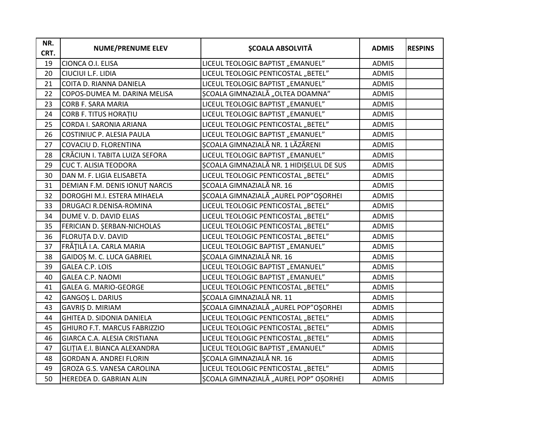| NR.<br>CRT. | <b>NUME/PRENUME ELEV</b>          | <b>SCOALA ABSOLVITĂ</b>                  | <b>ADMIS</b> | <b>RESPINS</b> |
|-------------|-----------------------------------|------------------------------------------|--------------|----------------|
| 19          | CIONCA O.I. ELISA                 | LICEUL TEOLOGIC BAPTIST "EMANUEL"        | <b>ADMIS</b> |                |
| 20          | CIUCIUI L.F. LIDIA                | LICEUL TEOLOGIC PENTICOSTAL "BETEL"      | <b>ADMIS</b> |                |
| 21          | COITA D. RIANNA DANIELA           | LICEUL TEOLOGIC BAPTIST "EMANUEL"        | <b>ADMIS</b> |                |
| 22          | COPOS-DUMEA M. DARINA MELISA      | ȘCOALA GIMNAZIALĂ "OLTEA DOAMNA"         | <b>ADMIS</b> |                |
| 23          | CORB F. SARA MARIA                | LICEUL TEOLOGIC BAPTIST "EMANUEL"        | <b>ADMIS</b> |                |
| 24          | <b>CORB F. TITUS HORATIU</b>      | LICEUL TEOLOGIC BAPTIST "EMANUEL"        | <b>ADMIS</b> |                |
| 25          | CORDA I. SARONIA ARIANA           | LICEUL TEOLOGIC PENTICOSTAL "BETEL"      | <b>ADMIS</b> |                |
| 26          | COSTINIUC P. ALESIA PAULA         | LICEUL TEOLOGIC BAPTIST "EMANUEL"        | <b>ADMIS</b> |                |
| 27          | COVACIU D. FLORENTINA             | ȘCOALA GIMNAZIALĂ NR. 1 LĂZĂRENI         | <b>ADMIS</b> |                |
| 28          | CRĂCIUN I. TABITA LUIZA SEFORA    | LICEUL TEOLOGIC BAPTIST "EMANUEL"        | <b>ADMIS</b> |                |
| 29          | <b>CUC T. ALISIA TEODORA</b>      | SCOALA GIMNAZIALĂ NR. 1 HIDIȘELUL DE SUS | <b>ADMIS</b> |                |
| 30          | DAN M. F. LIGIA ELISABETA         | LICEUL TEOLOGIC PENTICOSTAL "BETEL"      | <b>ADMIS</b> |                |
| 31          | DEMIAN F.M. DENIS IONUT NARCIS    | ȘCOALA GIMNAZIALĂ NR. 16                 | <b>ADMIS</b> |                |
| 32          | DOROGHI M.I. ESTERA MIHAELA       | ŞCOALA GIMNAZIALĂ "AUREL POP"OŞORHEI     | <b>ADMIS</b> |                |
| 33          | DRUGACI R.DENISA-ROMINA           | LICEUL TEOLOGIC PENTICOSTAL "BETEL"      | <b>ADMIS</b> |                |
| 34          | DUME V. D. DAVID ELIAS            | LICEUL TEOLOGIC PENTICOSTAL "BETEL"      | <b>ADMIS</b> |                |
| 35          | FERICIAN D. ŞERBAN-NICHOLAS       | LICEUL TEOLOGIC PENTICOSTAL "BETEL"      | <b>ADMIS</b> |                |
| 36          | FLORUȚA D.V. DAVID                | LICEUL TEOLOGIC PENTICOSTAL "BETEL"      | <b>ADMIS</b> |                |
| 37          | FRĂȚILĂ I.A. CARLA MARIA          | LICEUL TEOLOGIC BAPTIST "EMANUEL"        | <b>ADMIS</b> |                |
| 38          | GAIDOȘ M. C. LUCA GABRIEL         | SCOALA GIMNAZIALĂ NR. 16                 | <b>ADMIS</b> |                |
| 39          | <b>GALEA C.P. LOIS</b>            | LICEUL TEOLOGIC BAPTIST "EMANUEL"        | <b>ADMIS</b> |                |
| 40          | <b>GALEA C.P. NAOMI</b>           | LICEUL TEOLOGIC BAPTIST "EMANUEL"        | <b>ADMIS</b> |                |
| 41          | <b>GALEA G. MARIO-GEORGE</b>      | LICEUL TEOLOGIC PENTICOSTAL "BETEL"      | <b>ADMIS</b> |                |
| 42          | GANGOȘ L. DARIUS                  | <b>SCOALA GIMNAZIALĂ NR. 11</b>          | <b>ADMIS</b> |                |
| 43          | GAVRIȘ D. MIRIAM                  | ȘCOALA GIMNAZIALĂ "AUREL POP"OȘORHEI     | <b>ADMIS</b> |                |
| 44          | GHITEA D. SIDONIA DANIELA         | LICEUL TEOLOGIC PENTICOSTAL "BETEL"      | <b>ADMIS</b> |                |
| 45          | GHIURO F.T. MARCUS FABRIZZIO      | LICEUL TEOLOGIC PENTICOSTAL "BETEL"      | <b>ADMIS</b> |                |
| 46          | GIARCA C.A. ALESIA CRISTIANA      | LICEUL TEOLOGIC PENTICOSTAL "BETEL"      | <b>ADMIS</b> |                |
| 47          | GLITIA E.I. BIANCA ALEXANDRA      | LICEUL TEOLOGIC BAPTIST "EMANUEL"        | <b>ADMIS</b> |                |
| 48          | <b>GORDAN A. ANDREI FLORIN</b>    | <b>SCOALA GIMNAZIALĂ NR. 16</b>          | <b>ADMIS</b> |                |
| 49          | <b>GROZA G.S. VANESA CAROLINA</b> | LICEUL TEOLOGIC PENTICOSTAL "BETEL"      | <b>ADMIS</b> |                |
| 50          | HEREDEA D. GABRIAN ALIN           | ȘCOALA GIMNAZIALĂ "AUREL POP" OȘORHEI    | <b>ADMIS</b> |                |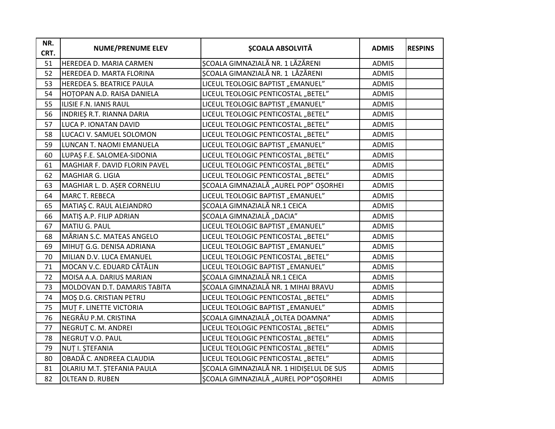| NR.<br>CRT. | <b>NUME/PRENUME ELEV</b>         | <b>SCOALA ABSOLVITĂ</b>                  | <b>ADMIS</b> | <b>RESPINS</b> |
|-------------|----------------------------------|------------------------------------------|--------------|----------------|
| 51          | HEREDEA D. MARIA CARMEN          | SCOALA GIMNAZIALĂ NR. 1 LĂZĂRENI         | <b>ADMIS</b> |                |
| 52          | HEREDEA D. MARTA FLORINA         | SCOALA GIMANZIALĂ NR. 1 LĂZĂRENI         | <b>ADMIS</b> |                |
| 53          | <b>HEREDEA S. BEATRICE PAULA</b> | LICEUL TEOLOGIC BAPTIST "EMANUEL"        | <b>ADMIS</b> |                |
| 54          | HOTOPAN A.D. RAISA DANIELA       | LICEUL TEOLOGIC PENTICOSTAL "BETEL"      | <b>ADMIS</b> |                |
| 55          | ILISIE F.N. IANIS RAUL           | LICEUL TEOLOGIC BAPTIST "EMANUEL"        | <b>ADMIS</b> |                |
| 56          | INDRIES R.T. RIANNA DARIA        | LICEUL TEOLOGIC PENTICOSTAL "BETEL"      | <b>ADMIS</b> |                |
| 57          | LUCA P. IONATAN DAVID            | LICEUL TEOLOGIC PENTICOSTAL "BETEL"      | <b>ADMIS</b> |                |
| 58          | LUCACI V. SAMUEL SOLOMON         | LICEUL TEOLOGIC PENTICOSTAL "BETEL"      | <b>ADMIS</b> |                |
| 59          | LUNCAN T. NAOMI EMANUELA         | LICEUL TEOLOGIC BAPTIST "EMANUEL"        | <b>ADMIS</b> |                |
| 60          | LUPAȘ F.E. SALOMEA-SIDONIA       | LICEUL TEOLOGIC PENTICOSTAL "BETEL"      | <b>ADMIS</b> |                |
| 61          | MAGHIAR F. DAVID FLORIN PAVEL    | LICEUL TEOLOGIC PENTICOSTAL "BETEL"      | ADMIS        |                |
| 62          | MAGHIAR G. LIGIA                 | LICEUL TEOLOGIC PENTICOSTAL "BETEL"      | <b>ADMIS</b> |                |
| 63          | MAGHIAR L. D. AŞER CORNELIU      | ȘCOALA GIMNAZIALĂ "AUREL POP" OȘORHEI    | <b>ADMIS</b> |                |
| 64          | MARC T. REBECA                   | LICEUL TEOLOGIC BAPTIST "EMANUEL"        | <b>ADMIS</b> |                |
| 65          | MATIAŞ C. RAUL ALEJANDRO         | ȘCOALA GIMNAZIALĂ NR.1 CEICA             | <b>ADMIS</b> |                |
| 66          | MATIS A.P. FILIP ADRIAN          | ȘCOALA GIMNAZIALĂ "DACIA"                | <b>ADMIS</b> |                |
| 67          | MATIU G. PAUL                    | LICEUL TEOLOGIC BAPTIST "EMANUEL"        | <b>ADMIS</b> |                |
| 68          | MĂRIAN S.C. MATEAS ANGELO        | LICEUL TEOLOGIC PENTICOSTAL "BETEL"      | <b>ADMIS</b> |                |
| 69          | MIHUT G.G. DENISA ADRIANA        | LICEUL TEOLOGIC BAPTIST "EMANUEL"        | ADMIS        |                |
| 70          | MILIAN D.V. LUCA EMANUEL         | LICEUL TEOLOGIC PENTICOSTAL "BETEL"      | <b>ADMIS</b> |                |
| 71          | MOCAN V.C. EDUARD CĂTĂLIN        | LICEUL TEOLOGIC BAPTIST "EMANUEL"        | <b>ADMIS</b> |                |
| 72          | MOISA A.A. DARIUS MARIAN         | <b>ȘCOALA GIMNAZIALĂ NR.1 CEICA</b>      | ADMIS        |                |
| 73          | MOLDOVAN D.T. DAMARIS TABITA     | SCOALA GIMNAZIALĂ NR. 1 MIHAI BRAVU      | ADMIS        |                |
| 74          | MOȘ D.G. CRISTIAN PETRU          | LICEUL TEOLOGIC PENTICOSTAL "BETEL"      | ADMIS        |                |
| 75          | MUT F. LINETTE VICTORIA          | LICEUL TEOLOGIC BAPTIST "EMANUEL"        | <b>ADMIS</b> |                |
| 76          | NEGRĂU P.M. CRISTINA             | ȘCOALA GIMNAZIALĂ "OLTEA DOAMNA"         | <b>ADMIS</b> |                |
| 77          | NEGRUȚ C. M. ANDREI              | LICEUL TEOLOGIC PENTICOSTAL "BETEL"      | <b>ADMIS</b> |                |
| 78          | NEGRUT V.O. PAUL                 | LICEUL TEOLOGIC PENTICOSTAL "BETEL"      | <b>ADMIS</b> |                |
| 79          | NUT I. ȘTEFANIA                  | LICEUL TEOLOGIC PENTICOSTAL "BETEL"      | <b>ADMIS</b> |                |
| 80          | OBADĂ C. ANDREEA CLAUDIA         | LICEUL TEOLOGIC PENTICOSTAL "BETEL"      | <b>ADMIS</b> |                |
| 81          | OLARIU M.T. ȘTEFANIA PAULA       | ȘCOALA GIMNAZIALĂ NR. 1 HIDIȘELUL DE SUS | <b>ADMIS</b> |                |
| 82          | OLTEAN D. RUBEN                  | ŞCOALA GIMNAZIALĂ "AUREL POP"OŞORHEI     | <b>ADMIS</b> |                |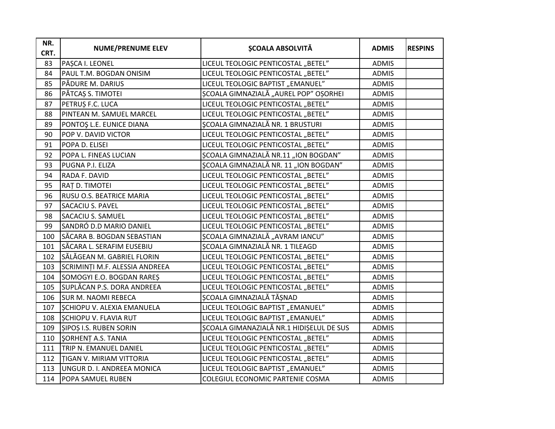| NR.<br>CRT. | <b>NUME/PRENUME ELEV</b>       | <b>SCOALA ABSOLVITĂ</b>                  | <b>ADMIS</b> | <b>RESPINS</b> |
|-------------|--------------------------------|------------------------------------------|--------------|----------------|
| 83          | PAȘCA I. LEONEL                | LICEUL TEOLOGIC PENTICOSTAL "BETEL"      | <b>ADMIS</b> |                |
| 84          | PAUL T.M. BOGDAN ONISIM        | LICEUL TEOLOGIC PENTICOSTAL "BETEL"      | <b>ADMIS</b> |                |
| 85          | PĂDURE M. DARIUS               | LICEUL TEOLOGIC BAPTIST "EMANUEL"        | <b>ADMIS</b> |                |
| 86          | PĂTCAȘ S. TIMOTEI              | ȘCOALA GIMNAZIALĂ "AUREL POP" OȘORHEI    | <b>ADMIS</b> |                |
| 87          | PETRUȘ F.C. LUCA               | LICEUL TEOLOGIC PENTICOSTAL "BETEL"      | <b>ADMIS</b> |                |
| 88          | PINTEAN M. SAMUEL MARCEL       | LICEUL TEOLOGIC PENTICOSTAL "BETEL"      | <b>ADMIS</b> |                |
| 89          | PONTOȘ L.E. EUNICE DIANA       | <b>ȘCOALA GIMNAZIALĂ NR. 1 BRUSTURI</b>  | <b>ADMIS</b> |                |
| 90          | POP V. DAVID VICTOR            | LICEUL TEOLOGIC PENTICOSTAL "BETEL"      | <b>ADMIS</b> |                |
| 91          | POPA D. ELISEI                 | LICEUL TEOLOGIC PENTICOSTAL "BETEL"      | <b>ADMIS</b> |                |
| 92          | POPA L. FINEAS LUCIAN          | ȘCOALA GIMNAZIALĂ NR.11 "ION BOGDAN"     | ADMIS        |                |
| 93          | PUGNA P.I. ELIZA               | ȘCOALA GIMNAZIALĂ NR. 11 "ION BOGDAN"    | <b>ADMIS</b> |                |
| 94          | RADA F. DAVID                  | LICEUL TEOLOGIC PENTICOSTAL "BETEL"      | <b>ADMIS</b> |                |
| 95          | RAT D. TIMOTEI                 | LICEUL TEOLOGIC PENTICOSTAL "BETEL"      | <b>ADMIS</b> |                |
| 96          | RUSU O.S. BEATRICE MARIA       | LICEUL TEOLOGIC PENTICOSTAL "BETEL"      | <b>ADMIS</b> |                |
| 97          | SACACIU S. PAVEL               | LICEUL TEOLOGIC PENTICOSTAL "BETEL"      | <b>ADMIS</b> |                |
| 98          | SACACIU S. SAMUEL              | LICEUL TEOLOGIC PENTICOSTAL "BETEL"      | <b>ADMIS</b> |                |
| 99          | SANDRÓ D.D MARIO DANIEL        | LICEUL TEOLOGIC PENTICOSTAL "BETEL"      | <b>ADMIS</b> |                |
| 100         | SĂCARA B. BOGDAN SEBASTIAN     | ȘCOALA GIMNAZIALĂ "AVRAM IANCU"          | ADMIS        |                |
| 101         | SĂCARA L. SERAFIM EUSEBIU      | ȘCOALA GIMNAZIALĂ NR. 1 TILEAGD          | ADMIS        |                |
| 102         | SĂLĂGEAN M. GABRIEL FLORIN     | LICEUL TEOLOGIC PENTICOSTAL "BETEL"      | ADMIS        |                |
| 103         | SCRIMINȚI M.F. ALESSIA ANDREEA | LICEUL TEOLOGIC PENTICOSTAL "BETEL"      | <b>ADMIS</b> |                |
| 104         | SOMOGYI E.O. BOGDAN RARES      | LICEUL TEOLOGIC PENTICOSTAL "BETEL"      | <b>ADMIS</b> |                |
| 105         | SUPLĂCAN P.S. DORA ANDREEA     | LICEUL TEOLOGIC PENTICOSTAL "BETEL"      | <b>ADMIS</b> |                |
| 106         | <b>SUR M. NAOMI REBECA</b>     | ȘCOALA GIMNAZIALĂ TĂȘNAD                 | <b>ADMIS</b> |                |
| 107         | SCHIOPU V. ALEXIA EMANUELA     | LICEUL TEOLOGIC BAPTIST "EMANUEL"        | ADMIS        |                |
| 108         | <b>SCHIOPU V. FLAVIA RUT</b>   | LICEUL TEOLOGIC BAPTIST "EMANUEL"        | <b>ADMIS</b> |                |
| 109         | <b>SIPOS I.S. RUBEN SORIN</b>  | ȘCOALA GIMANAZIALĂ NR.1 HIDIȘELUL DE SUS | <b>ADMIS</b> |                |
| 110         | SORHENT A.S. TANIA             | LICEUL TEOLOGIC PENTICOSTAL "BETEL"      | ADMIS        |                |
| 111         | TRIP N. EMANUEL DANIEL         | LICEUL TEOLOGIC PENTICOSTAL "BETEL"      | <b>ADMIS</b> |                |
| 112         | TIGAN V. MIRIAM VITTORIA       | LICEUL TEOLOGIC PENTICOSTAL "BETEL"      | <b>ADMIS</b> |                |
| 113         | UNGUR D. I. ANDREEA MONICA     | LICEUL TEOLOGIC BAPTIST "EMANUEL"        | <b>ADMIS</b> |                |
| 114         | <b>POPA SAMUEL RUBEN</b>       | COLEGIUL ECONOMIC PARTENIE COSMA         | <b>ADMIS</b> |                |